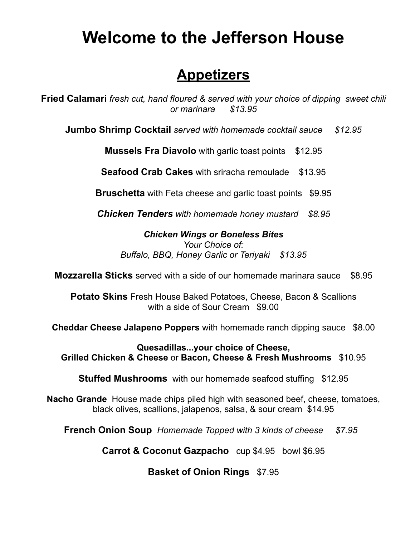# **Welcome to the Jefferson House**

### **Appetizers**

**Fried Calamari** *fresh cut, hand floured & served with your choice of dipping sweet chili or marinara \$13.95*

**Jumbo Shrimp Cocktail** *served with homemade cocktail sauce \$12.95*

**Mussels Fra Diavolo** with garlic toast points \$12.95

**Seafood Crab Cakes** with sriracha remoulade \$13.95

**Bruschetta** with Feta cheese and garlic toast points \$9.95

*Chicken Tenders with homemade honey mustard \$8.95*

*Chicken Wings or Boneless Bites Your Choice of: Buffalo, BBQ, Honey Garlic or Teriyaki \$13.95*

**Mozzarella Sticks** served with a side of our homemade marinara sauce \$8.95

**Potato Skins** Fresh House Baked Potatoes, Cheese, Bacon & Scallions with a side of Sour Cream \$9.00

**Cheddar Cheese Jalapeno Poppers** with homemade ranch dipping sauce \$8.00

**Quesadillas...your choice of Cheese, Grilled Chicken & Cheese** or **Bacon, Cheese & Fresh Mushrooms** \$10.95

**Stuffed Mushrooms** with our homemade seafood stuffing \$12.95

**Nacho Grande** House made chips piled high with seasoned beef, cheese, tomatoes, black olives, scallions, jalapenos, salsa, & sour cream \$14.95

**French Onion Soup** *Homemade Topped with 3 kinds of cheese \$7.95*

**Carrot & Coconut Gazpacho** cup \$4.95 bowl \$6.95

**Basket of Onion Rings** \$7.95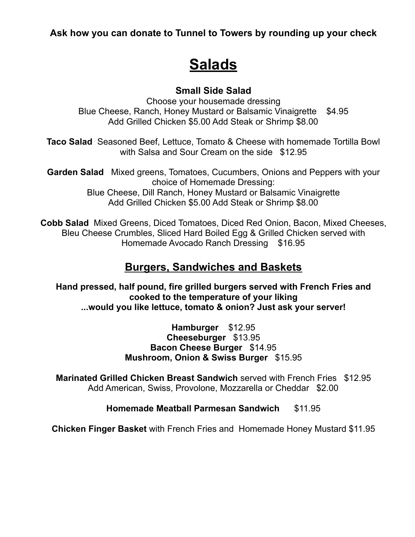#### **Ask how you can donate to Tunnel to Towers by rounding up your check**

## **Salads**

#### **Small Side Salad**

Choose your housemade dressing Blue Cheese, Ranch, Honey Mustard or Balsamic Vinaigrette \$4.95 Add Grilled Chicken \$5.00 Add Steak or Shrimp \$8.00

**Taco Salad** Seasoned Beef, Lettuce, Tomato & Cheese with homemade Tortilla Bowl with Salsa and Sour Cream on the side \$12.95

**Garden Salad** Mixed greens, Tomatoes, Cucumbers, Onions and Peppers with your choice of Homemade Dressing: Blue Cheese, Dill Ranch, Honey Mustard or Balsamic Vinaigrette Add Grilled Chicken \$5.00 Add Steak or Shrimp \$8.00

**Cobb Salad** Mixed Greens, Diced Tomatoes, Diced Red Onion, Bacon, Mixed Cheeses, Bleu Cheese Crumbles, Sliced Hard Boiled Egg & Grilled Chicken served with Homemade Avocado Ranch Dressing \$16.95

#### **Burgers, Sandwiches and Baskets**

**Hand pressed, half pound, fire grilled burgers served with French Fries and cooked to the temperature of your liking ...would you like lettuce, tomato & onion? Just ask your server!**

> **Hamburger** \$12.95 **Cheeseburger** \$13.95 **Bacon Cheese Burger** \$14.95 **Mushroom, Onion & Swiss Burger** \$15.95

**Marinated Grilled Chicken Breast Sandwich** served with French Fries \$12.95 Add American, Swiss, Provolone, Mozzarella or Cheddar \$2.00

**Homemade Meatball Parmesan Sandwich** \$11.95

**Chicken Finger Basket** with French Fries and Homemade Honey Mustard \$11.95